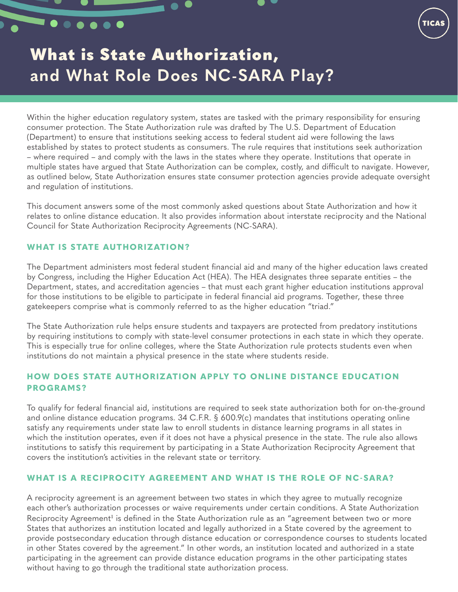# What is State Authorization, **and What Role Does NC-SARA Play?**

Within the higher education regulatory system, states are tasked with the primary responsibility for ensuring consumer protection. The State Authorization rule was drafted by The U.S. Department of Education (Department) to ensure that institutions seeking access to federal student aid were following the laws established by states to protect students as consumers. The rule requires that institutions seek authorization – where required – and comply with the laws in the states where they operate. Institutions that operate in multiple states have argued that State Authorization can be complex, costly, and difficult to navigate. However, as outlined below, State Authorization ensures state consumer protection agencies provide adequate oversight and regulation of institutions.

This document answers some of the most commonly asked questions about State Authorization and how it relates to online distance education. It also provides information about interstate reciprocity and the National Council for State Authorization Reciprocity Agreements (NC-SARA).

## **WHAT IS STATE AUTHORIZATION?**

<span id="page-0-0"></span> $\bullet\bullet\bullet\bullet\bullet\bullet$ 

The Department administers most federal student financial aid and many of the higher education laws created by Congress, including the Higher Education Act (HEA). The HEA designates three separate entities – the Department, states, and accreditation agencies – that must each grant higher education institutions approval for those institutions to be eligible to participate in federal financial aid programs. Together, these three gatekeepers comprise what is commonly referred to as the higher education "triad."

The State Authorization rule helps ensure students and taxpayers are protected from predatory institutions by requiring institutions to comply with state-level consumer protections in each state in which they operate. This is especially true for online colleges, where the State Authorization rule protects students even when institutions do not maintain a physical presence in the state where students reside.

## **HOW DOES STATE AUTHORIZATION APPLY TO ONLINE DISTANCE EDUCATION PROGRAMS?**

To qualify for federal financial aid, institutions are required to seek state authorization both for on-the-ground and online distance education programs. 34 C.F.R. § 600.9(c) mandates that institutions operating online satisfy any requirements under state law to enroll students in distance learning programs in all states in which the institution operates, even if it does not have a physical presence in the state. The rule also allows institutions to satisfy this requirement by participating in a State Authorization Reciprocity Agreement that covers the institution's activities in the relevant state or territory.

#### **WHAT IS A RECIPROCITY AGREEMENT AND WHAT IS THE ROLE OF NC-SARA?**

A reciprocity agreement is an agreement between two states in which they agree to mutually recognize each other's authorization processes or waive requirements under certain conditions. A State Authorization Reciprocity Agreement<sup>[1](#page-1-0)</sup> is defined in the State Authorization rule as an "agreement between two or more States that authorizes an institution located and legally authorized in a State covered by the agreement to provide postsecondary education through distance education or correspondence courses to students located in other States covered by the agreement." In other words, an institution located and authorized in a state participating in the agreement can provide distance education programs in the other participating states without having to go through the traditional state authorization process.